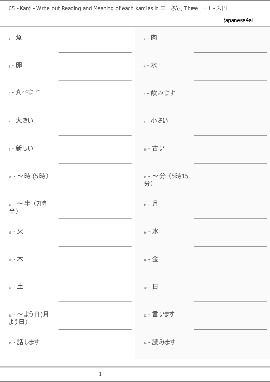65 - Kanji - Write out Reading and Meaning of each kanji as in  $\Xi - \dot{\xi} h$ 、Three  $-1$  - 入門

japanese4all 1 - 魚 2 - ついつ 2 - ついつ 2 - 肉 2 - 肉 2 - 肉 2 - 肉 2 - 肉 2 - 肉 2 - 肉 2 - 肉 2 - 肉 2 - 肉 2 - 肉 2 - 肉 2 - 肉 2 - 肉 2 - 肉 2 - 肉 2 - 肉 2 - 肉 2 - 肉 2 - 肉 2 - 肉 2 - 肉 2 - 肉 2 - 肉 2 - 肉 2 - 肉 2 - 肉 2 - 肉 2 - 肉 2 - 肉 2 - 肉 2 - 1 - 1 - 2 з - 卵 4 - 水 4 - 水 4 - 水 4 - 水 4 - 水 4 - 水 4 - 水 4 - 水 4 - 水 4 - 水 4 - 水 4 - 水 4 - 水 4 - 水 4 - 水 4 - 水 4 - 水 4 - 水 4 - 水 4 - 水 4 - 水 4 - 水 4 - 水 4 - 水 4 - 水 4 - 水 4 - 水 4 - 水 4 - 水 4 - 水 5 - 食べます 6 - インタン トラン トラン トラン インタック・タック おんなます はんちょう <sup>7</sup> - 大きい <sup>8</sup> - 小さい 9 - 新しい 10 - 古い 10 - 古い 11 - ~時 (5時) 12 - ~分 (5時15 分) <sup>13</sup> - ~半 (7時 半) <sup>14</sup> - 月  $15$  - 火 16 - 水 16 - 水 16 - 水 16 - 水 16 - 水 16 - 水 16 - 水 16 - 水 16 - 水 16 - 水 16 - 水 16 - 水 16 - 水 16 - 水 16 - 水 16 - 水 16 - 水 16 - 水 16 - 水 16 - 水 16 - 水 16 - 水 16 - 水 16 - 水 16 - 水 16 - 水 16 - 水 16 - 水 16 - 水 16 - 水 1 17 - 木 18 - 金 18 - 金 19 - 土 20 - 日 20 - 日 21 - ~よう日(月 よう日) 22 - 言います 23 - 話します 24 - 読みます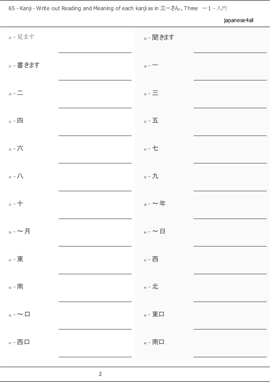japanese4all <sup>25</sup> - 見ます <sup>26</sup> - 聞きます <sup>27</sup> - 書きます <sup>28</sup> - 一  $29 - \frac{1}{2}$  $\frac{1}{31}$  -  $\frac{1}{21}$ 33 - 六 34 - 七 34 - 七 34 - 七 34 - 七 34 - 七 34 - 七 34 - 七 34 - 七 34 - 七 34 - 七 34 - 七 34 - 七 34 - 七 34 - 七 34 - 七 34 - 七 34 - 七 34 - 七 34 - 七 34 - 七 34 - 七 34 - 七 34 - 七 34 - 七 34 - 七 34 - 七 34 - 七 34 - 七 34 - 七 34 - 七 34 - $35 - / \sqrt{25 - 1}$  $37 - +$   $38 - \sim$  年  $_{_{39}}$  -  $\sim$  月  $41$  - 東  $42$  - 西  $42$  - 西  $42$  $\overline{43}$  - 南  $\overline{44}$  - 北  $\overline{44}$  - 北  $\overline{45}$  -  $\sim$  ロ 47 - 西口 インコントランス インター インター インター 南口